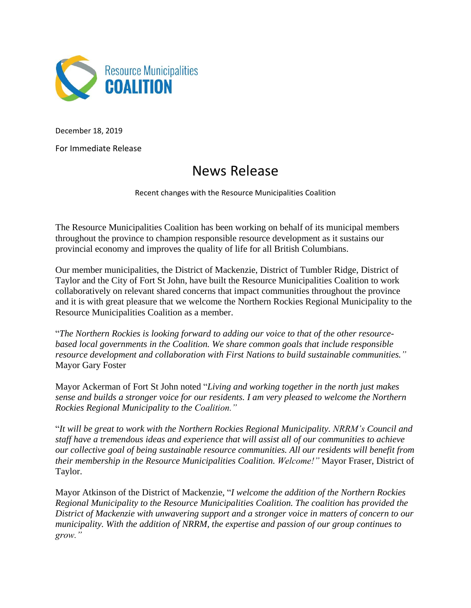

December 18, 2019

For Immediate Release

## News Release

Recent changes with the Resource Municipalities Coalition

The Resource Municipalities Coalition has been working on behalf of its municipal members throughout the province to champion responsible resource development as it sustains our provincial economy and improves the quality of life for all British Columbians.

Our member municipalities, the District of Mackenzie, District of Tumbler Ridge, District of Taylor and the City of Fort St John, have built the Resource Municipalities Coalition to work collaboratively on relevant shared concerns that impact communities throughout the province and it is with great pleasure that we welcome the Northern Rockies Regional Municipality to the Resource Municipalities Coalition as a member.

"*The Northern Rockies is looking forward to adding our voice to that of the other resourcebased local governments in the Coalition. We share common goals that include responsible resource development and collaboration with First Nations to build sustainable communities."* Mayor Gary Foster

Mayor Ackerman of Fort St John noted "*Living and working together in the north just makes sense and builds a stronger voice for our residents. I am very pleased to welcome the Northern Rockies Regional Municipality to the Coalition."*

"*It will be great to work with the Northern Rockies Regional Municipality. NRRM's Council and staff have a tremendous ideas and experience that will assist all of our communities to achieve our collective goal of being sustainable resource communities. All our residents will benefit from their membership in the Resource Municipalities Coalition. Welcome!"* Mayor Fraser, District of Taylor.

Mayor Atkinson of the District of Mackenzie, "*I welcome the addition of the Northern Rockies Regional Municipality to the Resource Municipalities Coalition. The coalition has provided the District of Mackenzie with unwavering support and a stronger voice in matters of concern to our municipality. With the addition of NRRM, the expertise and passion of our group continues to grow."*